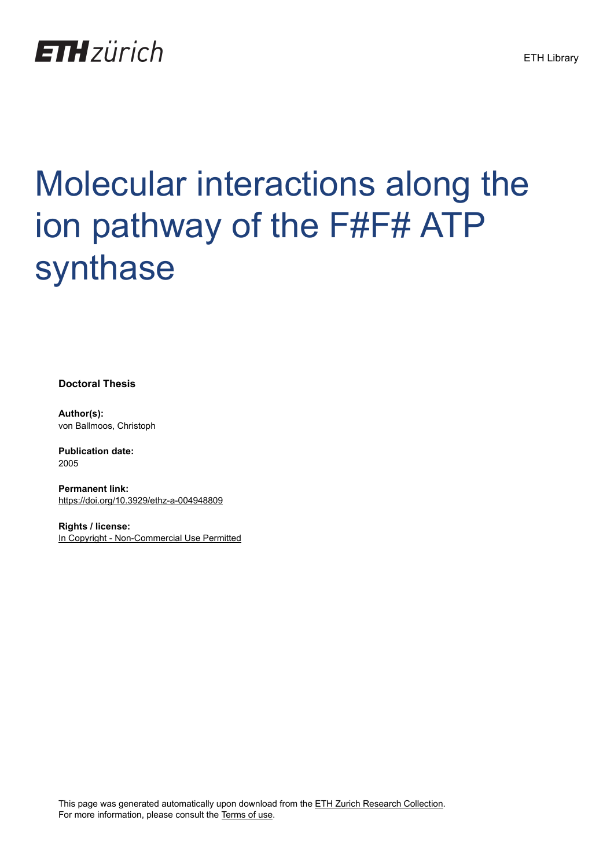

# Molecular interactions along the ion pathway of the F#F# ATP synthase

**Doctoral Thesis**

**Author(s):** von Ballmoos, Christoph

**Publication date:** 2005

**Permanent link:** <https://doi.org/10.3929/ethz-a-004948809>

**Rights / license:** [In Copyright - Non-Commercial Use Permitted](http://rightsstatements.org/page/InC-NC/1.0/)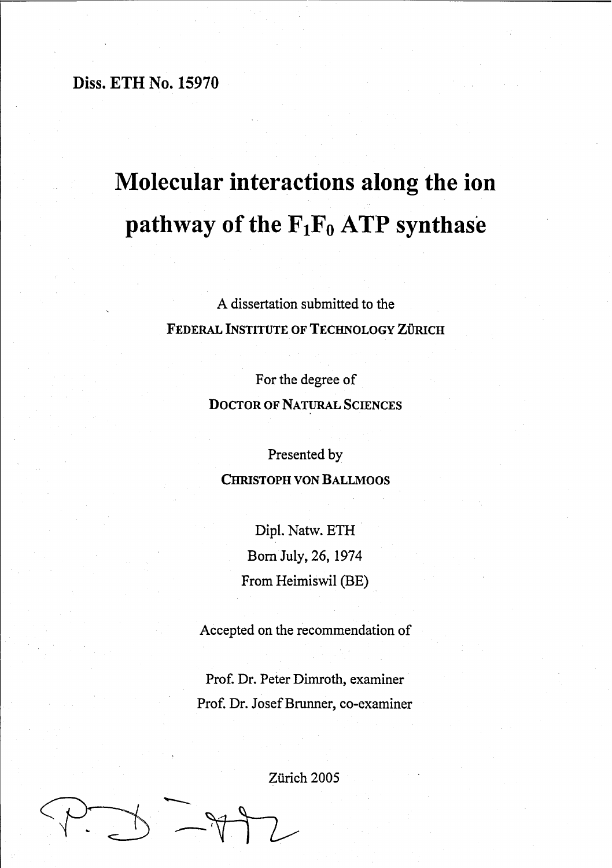Diss. ETH No. 15970

## **Molecular interactions along the ion pathway** of the  $F_1F_0$  ATP synthase

A dissertation submitted to the FEDERAL INSTITUTE OF TECHNOLOGY ZÜRICH

> For the degree of DOCTOR OF NATURAL SCIENCES

Presented by CHRISTOPH VON BALLMOOS

> Dip!. Natw. ETH Born July, 26, 1974 From Heimiswil (BE)

Accepted on the recommendation of

Prof. Dr. Peter Dimroth, examiner Prof. Dr. Josef Brunner, co-examiner

Zürich 2005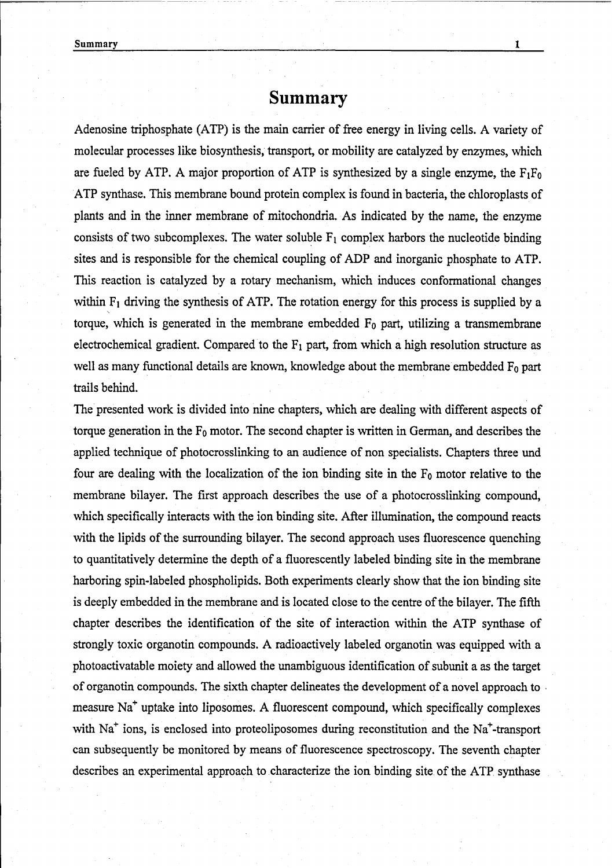## **Summary**

Adenosine triphosphate (ATP) is the main carrier of free energy in living cells. A variety of molecular processes like biosynthesis, transport, or mobility are catalyzed by enzymes, which are fueled by ATP. A major proportion of ATP is synthesized by a single enzyme, the  $F_1F_0$ ATP synthase. This membrane bound protein complex is found in bacteria, the chloroplasts of plants and in the inner membrane of mitochondria. As indicated by the name, the enzyme consists of two subcomplexes. The water soluble  $F_1$  complex harbors the nucleotide binding sites and is responsible for the chemical coupling of ADP and inorganic phosphate to ATP. This reaction is catalyzed by a rotary mechanism, which induces conformational changes within  $F_1$  driving the synthesis of ATP. The rotation energy for this process is supplied by a torque, which is generated in the membrane embedded  $F_0$  part, utilizing a transmembrane electrochemical gradient. Compared to the  $F_1$  part, from which a high resolution structure as well as many functional details are known, knowledge about the membrane embedded  $F_0$  part trails behind.

The presented work is divided into nine chapters, which are dealing with different aspects of torque generation in the  $F_0$  motor. The second chapter is written in German, and describes the applied technique of photocrosslinking to an audience of non specialists. Chapters three und four are dealing with the localization of the ion binding site in the  $F_0$  motor relative to the membrane bilayer. The first approach describes the use of a photocrosslinking compound, which specifically interacts with the ion binding site. After illumination, the compound reacts with the lipids of the surrounding bilayer. The second approach uses fluorescence quenching to quantitatively determine the depth of a fluorescently labeled binding site in the membrane harboring spin-labeled phospholipids. Both experiments clearly show that the ion binding site is deeply embedded in the membrane and is located close to the centre of the bilayer. The fifth chapter describes the identification of the site of interaction within the ATP synthase of strongly toxie organotin compounds. A radioaetively labeled organotin was equipped with a photoactivatable moiety and allowed the unambiguous identification of subunit a as the target of organotin eompounds. The sixth chapter delineates the development of a novel approach to . measure Na<sup>+</sup> uptake into liposomes. A fluorescent compound, which specifically complexes with  $Na<sup>+</sup>$  ions, is enclosed into proteoliposomes during reconstitution and the  $Na<sup>+</sup>$ -transport can subsequently be monitored by means of fluorescence spectroscopy. The seventh chapter describes an experimental approach to characterize the ion binding site of the ATP synthase

1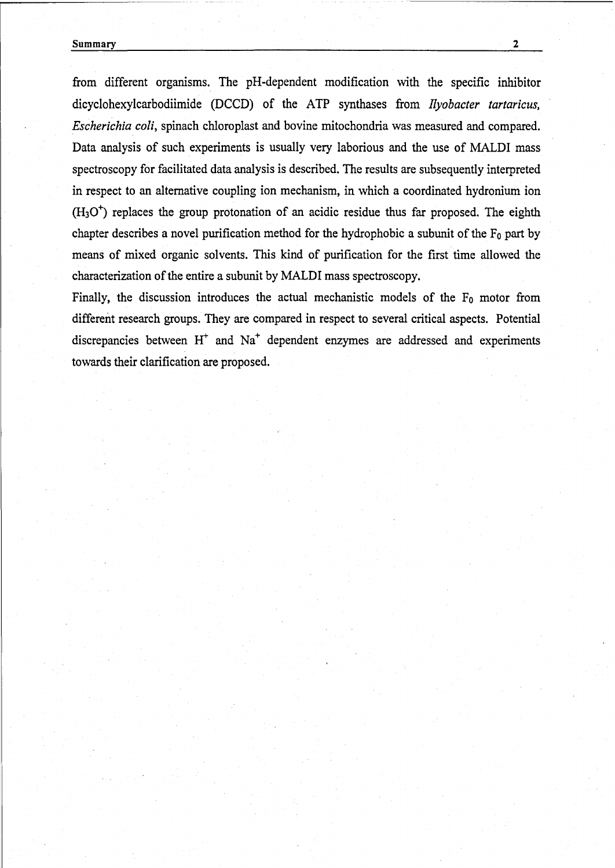#### Summary 2

from different organisms. The pH-dependent modification with the specific inhibitor dicyclohexylcarbodiimide (DCCD) of the ATP synthases from *llyobaeter tartaricus, Eseheriehia eoli,* spinach chloroplast and bovine mitochondria was measured and compared. Data analysis of such experiments is usually very laborious and the use of MALDI mass spectroscopy for facilitated data analysis is described. The results are subsequently interpreted in respect to an alternative coupling ion mechanism, in which a eoordinated hydronium ion  $(H<sub>3</sub>O<sup>+</sup>)$  replaces the group protonation of an acidic residue thus far proposed. The eighth chapter describes a novel purification method for the hydrophobic a subunit of the  $F_0$  part by means of mixed organie solvents. This kind of purifieation for the first time allowed the characterization of the entire a subunit by MALDI mass spectroscopy.

Finally, the discussion introduces the actual mechanistic models of the  $F_0$  motor from different research groups. They are compared in respeet to several eritical aspects. Potential discrepancies between  $H^+$  and  $Na^+$  dependent enzymes are addressed and experiments towards their clarification are proposed.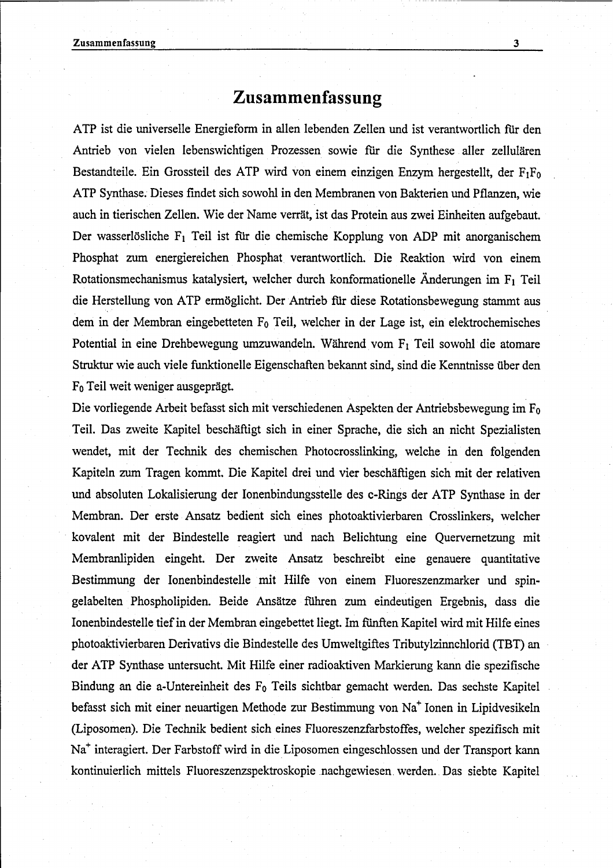## **Zusammenfassung**

ATP ist die universelle Energieform in allen lebenden Zellen und ist verantwortlich für den Antrieb von vielen lebenswichtigen Prozessen sowie für die Synthese aller zellulären Bestandteile. Ein Grossteil des ATP wird von einem einzigen Enzym hergestellt, der  $F_1F_0$ ATP Synthase. Dieses findet sich sowohl in den Membranen von Bakterien und Pflanzen, wie auch in tierischen Zellen. Wie der Name verrät, ist das Protein aus zwei Einheiten aufgebaut. Der wasserlösliche  $F_1$  Teil ist für die chemische Kopplung von ADP mit anorganischem Phosphat zum energiereichen Phosphat verantwortlich. Die Reaktion wird von einem Rotationsmechanismus katalysiert, welcher durch konformationelle Änderungen im  $F_1$  Teil die Herstellung von ATP ermöglicht. Der Antrieb für diese Rotationsbewegung stammt aus dem in der Membran eingebetteten *Fa* Teil, welcher in der Lage ist, ein elektrochemisches Potential in eine Drehbewegung umzuwandeln. Während vom F<sub>1</sub> Teil sowohl die atomare Struktur wie auch viele funktionelle Eigenschaften bekannt sind, sind die Kenntnisse über den *Fa* Teil weit weniger ausgeprägt.

Die vorliegende Arbeit befasst sich mit verschiedenen Aspekten der Antriebsbewegung im *Fa* Teil. Das zweite Kapitel beschäftigt sich in einer Sprache, die sich an nicht Spezialisten wendet, mit der Technik des chemischen Photocrosslinking, welche in den folgenden Kapiteln zum Tragen kommt. Die Kapitel drei und vier beschäftigen sich mit der relativen und absoluten Lokalisierung der Ionenbindungsstelle des c-Rings der ATP Synthase in der Membran. Der erste Ansatz bedient sich eines photoaktivierbaren Crosslinkers, welcher kovalent mit der Bindestelle reagiert und nach Belichtung eine Quervernetzung mit Membranlipiden eingeht. Der zweite Ansatz beschreibt eine genauere quantitative Bestimmung der Ionenbindestelle mit Hilfe von einem Fluoreszenzmarker und spingelabelten Phospholipiden. Beide Ansätze führen zum eindeutigen Ergebnis, dass die Ionenbindestelle tiefin der Membran eingebettet liegt. Im fünften Kapitel wird mit Hilfe eines photoaktivierbaren Derivativs die Bindestelle des Umweltgiftes Tributylzinnchlorid (TBT) an der ATP Synthase untersucht. Mit Hilfe einer radioaktiven Markierung kann die spezifische Bindung an die a-Untereinheit des *Fa* Teils sichtbar gemacht werden. Das sechste Kapitel befasst sich mit einer neuartigen Methode zur Bestimmung von Na<sup>+</sup> Ionen in Lipidvesikeln (Liposomen). Die Technik bedient sich eines Fluoreszenzfarbstoffes, welcher spezifisch mit Na<sup>+</sup> interagiert. Der Farbstoff wird in die Liposomen eingeschlossen und der Transport kann kontinuierlich mittels Fluoreszenzspektroskopie nachgewiesen werden. Das siebte Kapitel